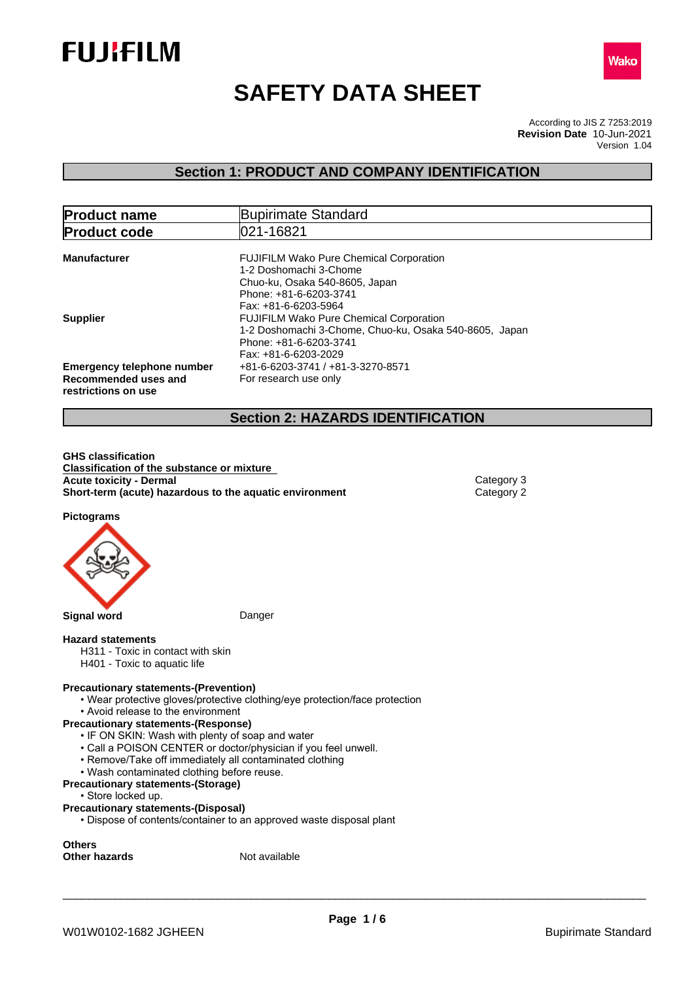



# **SAFETY DATA SHEET**

According to JIS Z 7253:2019 Version 1.04 **Revision Date** 10-Jun-2021

## **Section 1: PRODUCT AND COMPANY IDENTIFICATION**

| <b>Product name</b>                                                              | Bupirimate Standard                                                                                                                                          |
|----------------------------------------------------------------------------------|--------------------------------------------------------------------------------------------------------------------------------------------------------------|
| <b>Product code</b>                                                              | 021-16821                                                                                                                                                    |
| <b>Manufacturer</b>                                                              | <b>FUJIFILM Wako Pure Chemical Corporation</b><br>1-2 Doshomachi 3-Chome<br>Chuo-ku, Osaka 540-8605, Japan<br>Phone: +81-6-6203-3741<br>Fax: +81-6-6203-5964 |
| <b>Supplier</b>                                                                  | <b>FUJIFILM Wako Pure Chemical Corporation</b><br>1-2 Doshomachi 3-Chome, Chuo-ku, Osaka 540-8605, Japan<br>Phone: +81-6-6203-3741<br>Fax: +81-6-6203-2029   |
| <b>Emergency telephone number</b><br>Recommended uses and<br>restrictions on use | +81-6-6203-3741 / +81-3-3270-8571<br>For research use only                                                                                                   |

## **Section 2: HAZARDS IDENTIFICATION**

**GHS classification Classification of the substance or mixture Acute toxicity - Dermal** Category 3 **Short-term (acute) hazardous to the aquatic environment** Category 2

**Pictograms**



**Signal word** Danger

#### **Hazard statements**

- H311 Toxic in contact with skin
- H401 Toxic to aquatic life

#### **Precautionary statements-(Prevention)**

- Wear protective gloves/protective clothing/eye protection/face protection
- Avoid release to the environment

#### **Precautionary statements-(Response)**

- IF ON SKIN: Wash with plenty of soap and water
- Call a POISON CENTER or doctor/physician if you feel unwell.
- Remove/Take off immediately all contaminated clothing
- Wash contaminated clothing before reuse.

#### **Precautionary statements-(Storage)**

#### • Store locked up.

#### **Precautionary statements-(Disposal)**

• Dispose of contents/container to an approved waste disposal plant

**Others Other hazards** Not available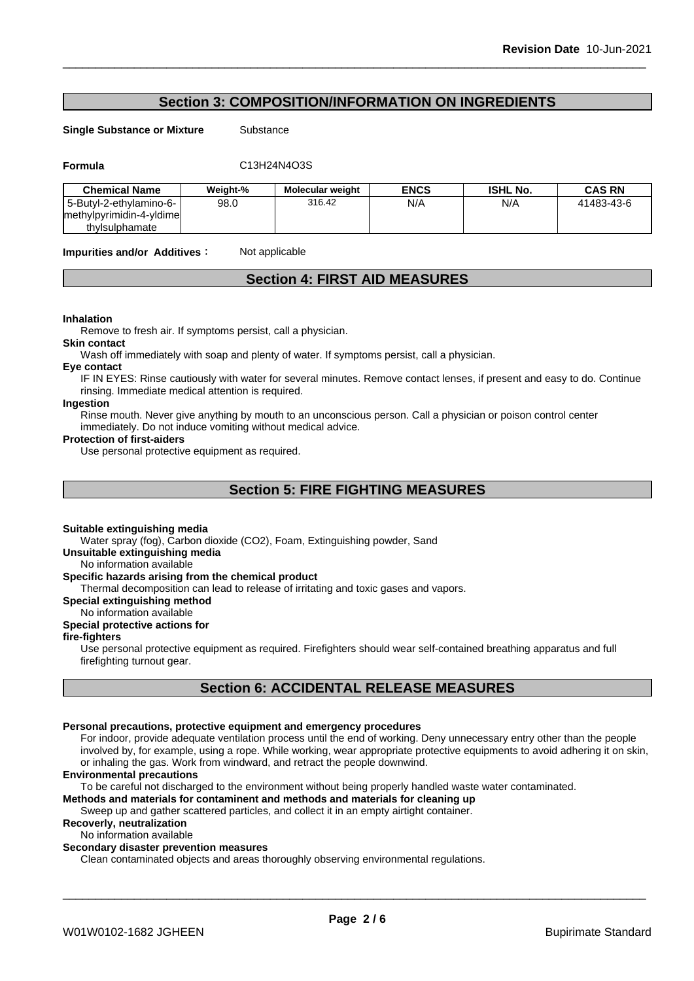## **Section 3: COMPOSITION/INFORMATION ON INGREDIENTS**

**Single Substance or Mixture** Substance

**Formula** C13H24N4O3S

| <b>Chemical Name</b>      | Weight-% | <b>Molecular weight</b> | ENCS | <b>ISHL No.</b> | <b>CAS RN</b> |
|---------------------------|----------|-------------------------|------|-----------------|---------------|
| l 5-Butvl-2-ethvlamino-6- | 98.0     | 316.42                  | N/A  | N/A             | 41483-43-6    |
| methylpyrimidin-4-yldime  |          |                         |      |                 |               |
| thylsulphamate            |          |                         |      |                 |               |

**Impurities and/or Additives:** Not applicable

## **Section 4: FIRST AID MEASURES**

#### **Inhalation**

Remove to fresh air. If symptoms persist, call a physician.

**Skin contact**

Wash off immediately with soap and plenty of water. If symptoms persist, call a physician.

#### **Eye contact**

IF IN EYES: Rinse cautiously with water for several minutes. Remove contact lenses, if present and easy to do. Continue rinsing. Immediate medical attention is required.

### **Ingestion**

Rinse mouth. Never give anything by mouth to an unconscious person. Call a physician or poison control center immediately. Do not induce vomiting without medical advice.

#### **Protection of first-aiders**

Use personal protective equipment as required.

## **Section 5: FIRE FIGHTING MEASURES**

#### **Suitable extinguishing media**

Water spray (fog), Carbon dioxide (CO2), Foam, Extinguishing powder, Sand

**Unsuitable extinguishing media**

## No information available

## **Specific hazards arising from the chemical product**

Thermal decomposition can lead to release of irritating and toxic gases and vapors.

#### **Special extinguishing method**

No information available

## **Special protective actions for**

### **fire-fighters**

Use personal protective equipment as required.Firefighters should wear self-contained breathing apparatus and full firefighting turnout gear.

## **Section 6: ACCIDENTAL RELEASE MEASURES**

#### **Personal precautions, protective equipment and emergency procedures**

For indoor, provide adequate ventilation process until the end of working. Deny unnecessary entry other than the people involved by, for example, using a rope. While working, wear appropriate protective equipments to avoid adhering it on skin, or inhaling the gas. Work from windward, and retract the people downwind.

#### **Environmental precautions**

To be careful not discharged to the environment without being properly handled waste water contaminated.

## **Methods and materials for contaminent and methods and materials for cleaning up**

Sweep up and gather scattered particles, and collect it in an empty airtight container.

## **Recoverly, neutralization**

No information available

#### **Secondary disaster prevention measures**

Clean contaminated objects and areas thoroughly observing environmental regulations.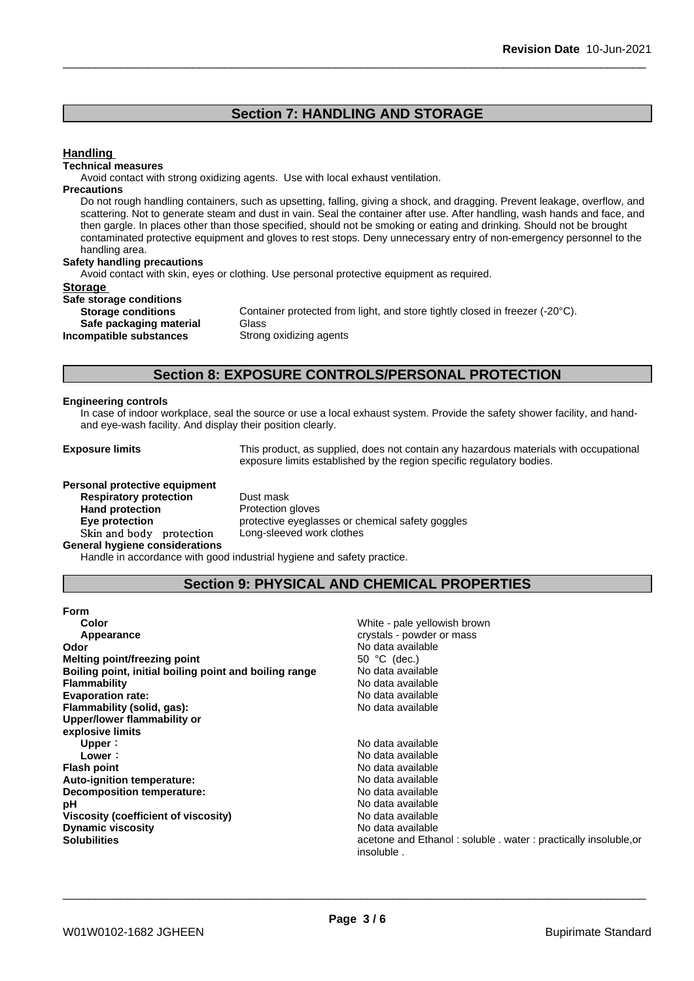## **Section 7: HANDLING AND STORAGE**

#### **Handling**

#### **Technical measures**

Avoid contact with strong oxidizing agents. Use with local exhaust ventilation.

#### **Precautions**

Do not rough handling containers, such as upsetting, falling, giving a shock, and dragging. Prevent leakage, overflow, and scattering. Not to generate steam and dust in vain. Seal the container after use. After handling, wash hands and face, and then gargle. In places other than those specified, should not be smoking or eating and drinking. Should not be brought contaminated protective equipment and gloves to rest stops. Deny unnecessary entry of non-emergency personnel to the handling area.

#### **Safety handling precautions**

Avoid contact with skin, eyes or clothing. Use personal protective equipment as required.

#### **Storage**

| Safe storage conditions   |             |
|---------------------------|-------------|
| <b>Storage conditions</b> | Container p |
| Safe packaging material   | Glass       |
| Incompatible substances   | Strong oxid |

Container protected from light, and store tightly closed in freezer (-20°C). **Safe packaging material** Glass **Strong oxidizing agents** 

## **Section 8: EXPOSURE CONTROLS/PERSONAL PROTECTION**

#### **Engineering controls**

In case of indoor workplace, seal the source or use a local exhaust system. Provide the safety shower facility, and handand eye-wash facility. And display their position clearly.

**Exposure limits** This product, as supplied, does not contain any hazardous materials with occupational exposure limits established by the region specific regulatory bodies.

#### **Personal protective equipment**

**Respiratory protection** Dust mask **Hand protection**<br> **Eye protection**<br> **Eye protection**<br> **Exercise Protective eveglation** Skin and body protection **General hygiene considerations**

protective eyeglasses or chemical safety goggles<br>Long-sleeved work clothes

Handle in accordance with good industrial hygiene and safety practice.

## **Section 9: PHYSICAL AND CHEMICAL PROPERTIES**

| Form                                                   |                                                                 |
|--------------------------------------------------------|-----------------------------------------------------------------|
| Color                                                  | White - pale yellowish brown                                    |
| Appearance                                             | crystals - powder or mass                                       |
| Odor                                                   | No data available                                               |
| Melting point/freezing point                           | 50 $°C$ (dec.)                                                  |
| Boiling point, initial boiling point and boiling range | No data available                                               |
| <b>Flammability</b>                                    | No data available                                               |
| <b>Evaporation rate:</b>                               | No data available                                               |
| Flammability (solid, gas):                             | No data available                                               |
| Upper/lower flammability or                            |                                                                 |
| explosive limits                                       |                                                                 |
| Upper:                                                 | No data available                                               |
| Lower :                                                | No data available                                               |
| <b>Flash point</b>                                     | No data available                                               |
| Auto-ignition temperature:                             | No data available                                               |
| Decomposition temperature:                             | No data available                                               |
| рH                                                     | No data available                                               |
| Viscosity (coefficient of viscosity)                   | No data available                                               |
| <b>Dynamic viscosity</b>                               | No data available                                               |
| <b>Solubilities</b>                                    | acetone and Ethanol: soluble . water: practically insoluble, or |
|                                                        | insoluble.                                                      |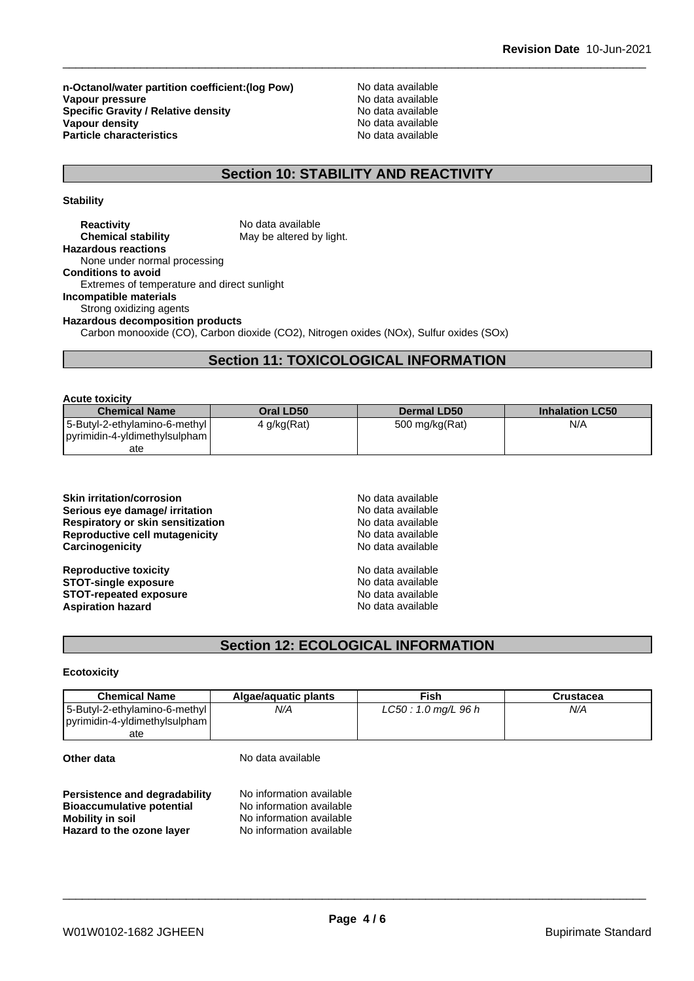**n-Octanol/water partition coefficient:(log Pow) No data available<br>
Vapour pressure<br>
No data available Vapour pressure**<br> **Specific Gravity / Relative density**<br>
Specific Gravity / Relative density<br>
No data available **Specific Gravity / Relative density** Notata available Notation of the set of the set of the set of the set of the set of the set of the set of the set of the set of the set of the set of the set of the set of the set of t **Vapour density Notable 2008 and 2009 Modern Controllering Controllering Note 2009 Modern Controllering Controllering Controllering Controllering Controllering Controllering Controllering Controllering Controllering Cont Particle characteristics** No data available

## **Section 10: STABILITY AND REACTIVITY**

**Stability**

| <b>Reactivity</b>                           | No data available                                                                       |
|---------------------------------------------|-----------------------------------------------------------------------------------------|
| <b>Chemical stability</b>                   | May be altered by light.                                                                |
| <b>Hazardous reactions</b>                  |                                                                                         |
| None under normal processing                |                                                                                         |
| <b>Conditions to avoid</b>                  |                                                                                         |
| Extremes of temperature and direct sunlight |                                                                                         |
| Incompatible materials                      |                                                                                         |
| Strong oxidizing agents                     |                                                                                         |
| <b>Hazardous decomposition products</b>     |                                                                                         |
|                                             | Carbon monooxide (CO), Carbon dioxide (CO2), Nitrogen oxides (NOx), Sulfur oxides (SOx) |
|                                             |                                                                                         |

## **Section 11: TOXICOLOGICAL INFORMATION**

| <b>Acute toxicity</b>                                           |             |                |                        |
|-----------------------------------------------------------------|-------------|----------------|------------------------|
| <b>Chemical Name</b>                                            | Oral LD50   | Dermal LD50    | <b>Inhalation LC50</b> |
| 5-Butyl-2-ethylamino-6-methyl <br>pyrimidin-4-yldimethylsulpham | 4 g/kg(Rat) | 500 mg/kg(Rat) | N/A                    |
| ate                                                             |             |                |                        |

| No data available |
|-------------------|
|                   |
| No data available |
| No data available |
| No data available |
| No data available |
| No data available |
| No data available |
| No data available |
|                   |

## **Section 12: ECOLOGICAL INFORMATION**

### **Ecotoxicity**

| <b>Chemical Name</b>          | Algae/aguatic plants | Fish                | Crustacea |
|-------------------------------|----------------------|---------------------|-----------|
| 5-Butyl-2-ethylamino-6-methyl | N/A                  | LC50: 1.0 mg/L 96 h | N/A       |
| pyrimidin-4-yldimethylsulpham |                      |                     |           |
| ate                           |                      |                     |           |

**Other data** No data available

| Persistence and degradability    | No information available |
|----------------------------------|--------------------------|
| <b>Bioaccumulative potential</b> | No information available |
| <b>Mobility in soil</b>          | No information available |
| Hazard to the ozone layer        | No information available |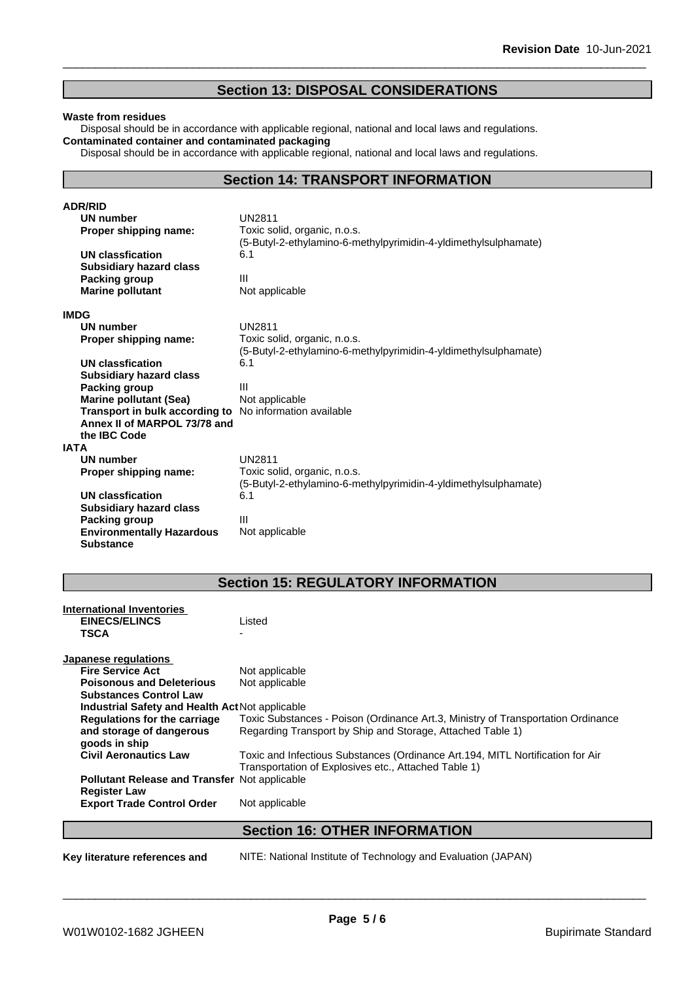## **Section 13: DISPOSAL CONSIDERATIONS**

#### **Waste from residues**

Disposal should be in accordance with applicable regional, national and local laws and regulations. **Contaminated container and contaminated packaging**

Disposal should be in accordance with applicable regional, national and local laws and regulations.

## **Section 14: TRANSPORT INFORMATION**

| <b>ADR/RID</b>                   |                                                                 |
|----------------------------------|-----------------------------------------------------------------|
| <b>UN number</b>                 | <b>UN2811</b>                                                   |
| Proper shipping name:            | Toxic solid, organic, n.o.s.                                    |
|                                  | (5-Butyl-2-ethylamino-6-methylpyrimidin-4-yldimethylsulphamate) |
| <b>UN classfication</b>          | 6.1                                                             |
| <b>Subsidiary hazard class</b>   |                                                                 |
| Packing group                    | Ш                                                               |
| <b>Marine pollutant</b>          | Not applicable                                                  |
| <b>IMDG</b>                      |                                                                 |
| <b>UN number</b>                 | <b>UN2811</b>                                                   |
| Proper shipping name:            | Toxic solid, organic, n.o.s.                                    |
|                                  | (5-Butyl-2-ethylamino-6-methylpyrimidin-4-yldimethylsulphamate) |
| UN classfication                 | 6.1                                                             |
| <b>Subsidiary hazard class</b>   |                                                                 |
| <b>Packing group</b>             | Ш                                                               |
| <b>Marine pollutant (Sea)</b>    | Not applicable                                                  |
| Transport in bulk according to   | No information available                                        |
| Annex II of MARPOL 73/78 and     |                                                                 |
| the IBC Code                     |                                                                 |
| <b>IATA</b>                      |                                                                 |
| UN number                        | <b>UN2811</b>                                                   |
| Proper shipping name:            | Toxic solid, organic, n.o.s.                                    |
|                                  | (5-Butyl-2-ethylamino-6-methylpyrimidin-4-yldimethylsulphamate) |
| <b>UN classfication</b>          | 6.1                                                             |
| <b>Subsidiary hazard class</b>   |                                                                 |
| Packing group                    | $\mathbf{III}$                                                  |
| <b>Environmentally Hazardous</b> | Not applicable                                                  |
| <b>Substance</b>                 |                                                                 |

## **Section 15: REGULATORY INFORMATION**

| International Inventories                            |                                                                                  |
|------------------------------------------------------|----------------------------------------------------------------------------------|
| <b>EINECS/ELINCS</b>                                 | Listed                                                                           |
| <b>TSCA</b>                                          |                                                                                  |
| Japanese regulations                                 |                                                                                  |
| <b>Fire Service Act</b>                              | Not applicable                                                                   |
| <b>Poisonous and Deleterious</b>                     | Not applicable                                                                   |
| <b>Substances Control Law</b>                        |                                                                                  |
|                                                      |                                                                                  |
| Industrial Safety and Health Act Not applicable      |                                                                                  |
| <b>Regulations for the carriage</b>                  | Toxic Substances - Poison (Ordinance Art.3, Ministry of Transportation Ordinance |
| and storage of dangerous                             | Regarding Transport by Ship and Storage, Attached Table 1)                       |
| goods in ship                                        |                                                                                  |
| <b>Civil Aeronautics Law</b>                         | Toxic and Infectious Substances (Ordinance Art.194, MITL Nortification for Air   |
|                                                      | Transportation of Explosives etc., Attached Table 1)                             |
| <b>Pollutant Release and Transfer Not applicable</b> |                                                                                  |
| <b>Register Law</b>                                  |                                                                                  |
| <b>Export Trade Control Order</b>                    | Not applicable                                                                   |
|                                                      |                                                                                  |
|                                                      | <b>Section 16: OTHER INFORMATION</b>                                             |
|                                                      |                                                                                  |

**Key literature references and** NITE: National Institute of Technology and Evaluation (JAPAN)